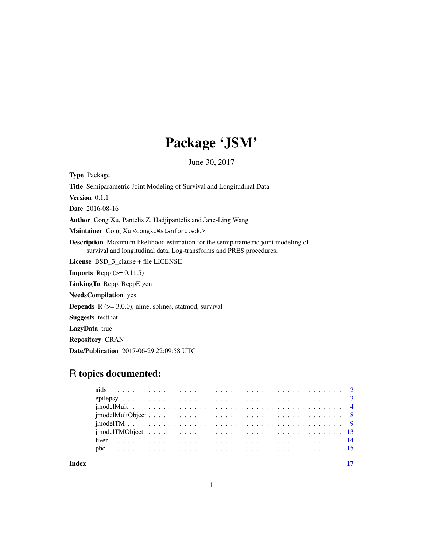## Package 'JSM'

June 30, 2017

<span id="page-0-0"></span>Type Package Title Semiparametric Joint Modeling of Survival and Longitudinal Data Version 0.1.1 Date 2016-08-16 Author Cong Xu, Pantelis Z. Hadjipantelis and Jane-Ling Wang Maintainer Cong Xu <congxu@stanford.edu> Description Maximum likelihood estimation for the semiparametric joint modeling of survival and longitudinal data. Log-transforms and PRES procedures. License BSD\_3\_clause + file LICENSE **Imports** Rcpp  $(>= 0.11.5)$ LinkingTo Rcpp, RcppEigen NeedsCompilation yes **Depends**  $R$  ( $>= 3.0.0$ ), nlme, splines, statmod, survival Suggests testthat LazyData true Repository CRAN

### R topics documented:

Date/Publication 2017-06-29 22:09:58 UTC

**Index** [17](#page-16-0)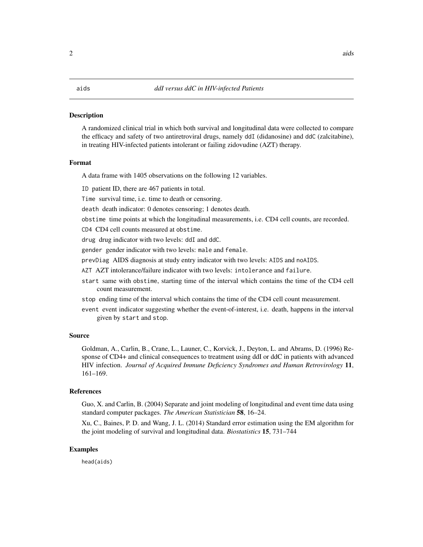#### <span id="page-1-0"></span>**Description**

A randomized clinical trial in which both survival and longitudinal data were collected to compare the efficacy and safety of two antiretroviral drugs, namely ddI (didanosine) and ddC (zalcitabine), in treating HIV-infected patients intolerant or failing zidovudine (AZT) therapy.

#### Format

A data frame with 1405 observations on the following 12 variables.

ID patient ID, there are 467 patients in total.

Time survival time, i.e. time to death or censoring.

death death indicator: 0 denotes censoring; 1 denotes death.

obstime time points at which the longitudinal measurements, i.e. CD4 cell counts, are recorded.

CD4 CD4 cell counts measured at obstime.

drug drug indicator with two levels: ddI and ddC.

gender gender indicator with two levels: male and female.

prevDiag AIDS diagnosis at study entry indicator with two levels: AIDS and noAIDS.

AZT AZT intolerance/failure indicator with two levels: intolerance and failure.

start same with obstime, starting time of the interval which contains the time of the CD4 cell count measurement.

stop ending time of the interval which contains the time of the CD4 cell count measurement.

event event indicator suggesting whether the event-of-interest, i.e. death, happens in the interval given by start and stop.

#### Source

Goldman, A., Carlin, B., Crane, L., Launer, C., Korvick, J., Deyton, L. and Abrams, D. (1996) Response of CD4+ and clinical consequences to treatment using ddI or ddC in patients with advanced HIV infection. *Journal of Acquired Immune Deficiency Syndromes and Human Retrovirology* 11, 161–169.

#### References

Guo, X. and Carlin, B. (2004) Separate and joint modeling of longitudinal and event time data using standard computer packages. *The American Statistician* 58, 16–24.

Xu, C., Baines, P. D. and Wang, J. L. (2014) Standard error estimation using the EM algorithm for the joint modeling of survival and longitudinal data. *Biostatistics* 15, 731–744

#### Examples

head(aids)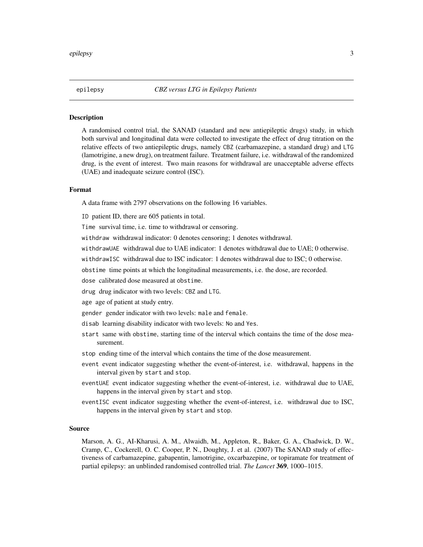<span id="page-2-0"></span>

#### Description

A randomised control trial, the SANAD (standard and new antiepileptic drugs) study, in which both survival and longitudinal data were collected to investigate the effect of drug titration on the relative effects of two antiepileptic drugs, namely CBZ (carbamazepine, a standard drug) and LTG (lamotrigine, a new drug), on treatment failure. Treatment failure, i.e. withdrawal of the randomized drug, is the event of interest. Two main reasons for withdrawal are unacceptable adverse effects (UAE) and inadequate seizure control (ISC).

#### Format

A data frame with 2797 observations on the following 16 variables.

ID patient ID, there are 605 patients in total.

Time survival time, i.e. time to withdrawal or censoring.

withdraw withdrawal indicator: 0 denotes censoring; 1 denotes withdrawal.

withdrawUAE withdrawal due to UAE indicator: 1 denotes withdrawal due to UAE; 0 otherwise.

withdrawISC withdrawal due to ISC indicator: 1 denotes withdrawal due to ISC; 0 otherwise.

obstime time points at which the longitudinal measurements, i.e. the dose, are recorded.

dose calibrated dose measured at obstime.

drug drug indicator with two levels: CBZ and LTG.

age age of patient at study entry.

gender gender indicator with two levels: male and female.

disab learning disability indicator with two levels: No and Yes.

- start same with obstime, starting time of the interval which contains the time of the dose measurement.
- stop ending time of the interval which contains the time of the dose measurement.
- event event indicator suggesting whether the event-of-interest, i.e. withdrawal, happens in the interval given by start and stop.
- eventUAE event indicator suggesting whether the event-of-interest, i.e. withdrawal due to UAE, happens in the interval given by start and stop.
- eventISC event indicator suggesting whether the event-of-interest, i.e. withdrawal due to ISC, happens in the interval given by start and stop.

#### Source

Marson, A. G., AI-Kharusi, A. M., Alwaidh, M., Appleton, R., Baker, G. A., Chadwick, D. W., Cramp, C., Cockerell, O. C. Cooper, P. N., Doughty, J. et al. (2007) The SANAD study of effectiveness of carbamazepine, gabapentin, lamotrigine, oxcarbazepine, or topiramate for treatment of partial epilepsy: an unblinded randomised controlled trial. *The Lancet* 369, 1000–1015.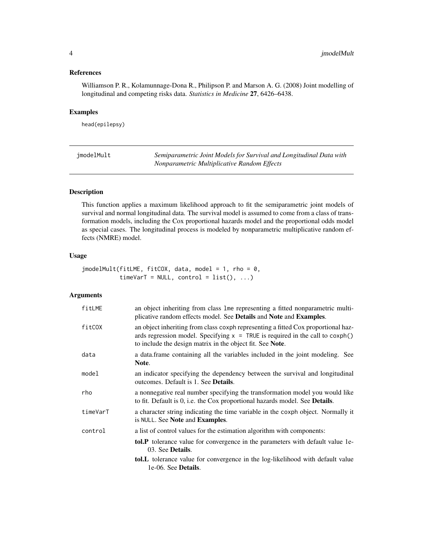#### <span id="page-3-0"></span>References

Williamson P. R., Kolamunnage-Dona R., Philipson P. and Marson A. G. (2008) Joint modelling of longitudinal and competing risks data. *Statistics in Medicine* 27, 6426–6438.

#### Examples

head(epilepsy)

<span id="page-3-1"></span>jmodelMult *Semiparametric Joint Models for Survival and Longitudinal Data with Nonparametric Multiplicative Random Effects*

#### Description

This function applies a maximum likelihood approach to fit the semiparametric joint models of survival and normal longitudinal data. The survival model is assumed to come from a class of transformation models, including the Cox proportional hazards model and the proportional odds model as special cases. The longitudinal process is modeled by nonparametric multiplicative random effects (NMRE) model.

#### Usage

```
jmodelMult(fitLME, fitCOX, data, model = 1, rho = 0,
           timeVarT = NULL, control = list(), ...)
```
#### Arguments

| fitLME   | an object inheriting from class lme representing a fitted nonparametric multi-<br>plicative random effects model. See Details and Note and Examples.                                                                              |
|----------|-----------------------------------------------------------------------------------------------------------------------------------------------------------------------------------------------------------------------------------|
| fitCOX   | an object inheriting from class coxph representing a fitted Cox proportional haz-<br>ards regression model. Specifying $x = TRUE$ is required in the call to coxph()<br>to include the design matrix in the object fit. See Note. |
| data     | a data frame containing all the variables included in the joint modeling. See<br>Note.                                                                                                                                            |
| model    | an indicator specifying the dependency between the survival and longitudinal<br>outcomes. Default is 1. See <b>Details</b> .                                                                                                      |
| rho      | a nonnegative real number specifying the transformation model you would like<br>to fit. Default is 0, i.e. the Cox proportional hazards model. See <b>Details</b> .                                                               |
| timeVarT | a character string indicating the time variable in the coxph object. Normally it<br>is NULL. See <b>Note</b> and <b>Examples</b> .                                                                                                |
| control  | a list of control values for the estimation algorithm with components:                                                                                                                                                            |
|          | tol.P tolerance value for convergence in the parameters with default value 1e-<br>03. See Details.                                                                                                                                |
|          | tol.L tolerance value for convergence in the log-likelihood with default value<br>1e-06. See Details.                                                                                                                             |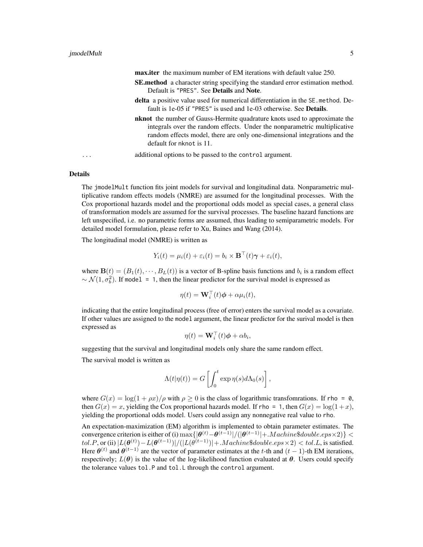| <b>max.iter</b> the maximum number of EM iterations with default value 250. |
|-----------------------------------------------------------------------------|
|-----------------------------------------------------------------------------|

- SE.method a character string specifying the standard error estimation method. Default is "PRES". See Details and Note.
- delta a positive value used for numerical differentiation in the SE. method. Default is 1e-05 if "PRES" is used and 1e-03 otherwise. See Details.
- nknot the number of Gauss-Hermite quadrature knots used to approximate the integrals over the random effects. Under the nonparametric multiplicative random effects model, there are only one-dimensional integrations and the default for nknot is 11.
- ... additional options to be passed to the control argument.

#### Details

The jmodelMult function fits joint models for survival and longitudinal data. Nonparametric multiplicative random effects models (NMRE) are assumed for the longitudinal processes. With the Cox proportional hazards model and the proportional odds model as special cases, a general class of transformation models are assumed for the survival processes. The baseline hazard functions are left unspecified, i.e. no parametric forms are assumed, thus leading to semiparametric models. For detailed model formulation, please refer to Xu, Baines and Wang (2014).

The longitudinal model (NMRE) is written as

$$
Y_i(t) = \mu_i(t) + \varepsilon_i(t) = b_i \times \mathbf{B}^\top(t)\boldsymbol{\gamma} + \varepsilon_i(t),
$$

where  $\mathbf{B}(t) = (B_1(t), \cdots, B_L(t))$  is a vector of B-spline basis functions and  $b_i$  is a random effect  $\sim \mathcal{N}(1, \sigma_b^2)$ . If model = 1, then the linear predictor for the survival model is expressed as

$$
\eta(t) = \mathbf{W}_i^{\top}(t)\boldsymbol{\phi} + \alpha\mu_i(t),
$$

indicating that the entire longitudinal process (free of error) enters the survival model as a covariate. If other values are assigned to the model argument, the linear predictor for the surival model is then expressed as

$$
\eta(t) = \mathbf{W}_i^\top(t)\boldsymbol{\phi} + \alpha b_i,
$$

suggesting that the survival and longitudinal models only share the same random effect.

The survival model is written as

$$
\Lambda(t|\eta(t)) = G\left[\int_0^t \exp \eta(s) d\Lambda_0(s)\right],
$$

where  $G(x) = \log(1 + \rho x)/\rho$  with  $\rho \ge 0$  is the class of logarithmic transfomations. If rho = 0, then  $G(x) = x$ , yielding the Cox proportional hazards model. If rho = 1, then  $G(x) = \log(1+x)$ , yielding the proportional odds model. Users could assign any nonnegative real value to rho.

An expectation-maximization (EM) algorithm is implemented to obtain parameter estimates. The convergence criterion is either of (i)  $\max\{|\boldsymbol{\theta}^{(t)}-\boldsymbol{\theta}^{(t-1)}|/(|\boldsymbol{\theta}^{(t-1)}|+.Machine\$ double.eps \times 2)\} <$  $tol.P,$  or (ii)  $|L(\boldsymbol{\theta}^{(t)})-L(\boldsymbol{\theta}^{(t-1)})|/(|L(\boldsymbol{\theta}^{(t-1)})|+Machine\$double.eps\times2) is satisfied.$ Here  $\theta^{(t)}$  and  $\theta^{(t-1)}$  are the vector of parameter estimates at the t-th and  $(t-1)$ -th EM iterations, respectively;  $L(\theta)$  is the value of the log-likelihood function evaluated at  $\theta$ . Users could specify the tolerance values tol.P and tol.L through the control argument.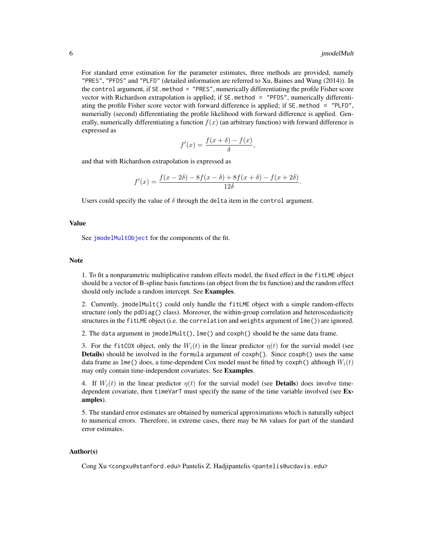<span id="page-5-0"></span>For standard error estimation for the parameter estimates, three methods are provided, namely "PRES", "PFDS" and "PLFD" (detailed information are referred to Xu, Baines and Wang (2014)). In the control argument, if SE.method = "PRES", numerically differentiating the profile Fisher score vector with Richardson extrapolation is applied; if SE.method = "PFDS", numerically differentiating the profile Fisher score vector with forward difference is applied; if SE.method = "PLFD", numerially (second) differentiating the profile likelihood with forward difference is applied. Generally, numerically differentiating a function  $f(x)$  (an arbitrary function) with forward difference is expressed as

$$
f'(x) = \frac{f(x+\delta) - f(x)}{\delta},
$$

and that with Richardson extrapolation is expressed as

$$
f'(x) = \frac{f(x - 2\delta) - 8f(x - \delta) + 8f(x + \delta) - f(x + 2\delta)}{12\delta}.
$$

Users could specify the value of  $\delta$  through the delta item in the control argument.

#### Value

See [jmodelMultObject](#page-7-1) for the components of the fit.

#### **Note**

1. To fit a nonparametric multiplicative random effects model, the fixed effect in the fitLME object should be a vector of B-spline basis functions (an object from the bs function) and the random effect should only include a random intercept. See Examples.

2. Currently, jmodelMult() could only handle the fitLME object with a simple random-effects structure (only the pdDiag() class). Moreover, the within-group correlation and heteroscedasticity structures in the fitLME object (i.e. the correlation and weights argument of lme()) are ignored.

2. The data argument in jmodelMult(), lme() and coxph() should be the same data frame.

3. For the fitCOX object, only the  $W_i(t)$  in the linear predictor  $\eta(t)$  for the survial model (see Details) should be involved in the formula argument of coxph{}. Since coxph() uses the same data frame as lme() does, a time-dependent Cox model must be fitted by coxph() although  $W_i(t)$ may only contain time-independent covariates. See Examples.

4. If  $W_i(t)$  in the linear predictor  $\eta(t)$  for the survial model (see **Details**) does involve timedependent covariate, then timeVarT must specify the name of the time variable involved (see Examples).

5. The standard error estimates are obtained by numerical approximations which is naturally subject to numerical errors. Therefore, in extreme cases, there may be NA values for part of the standard error estimates.

#### Author(s)

Cong Xu <congxu@stanford.edu> Pantelis Z. Hadjipantelis <pantelis@ucdavis.edu>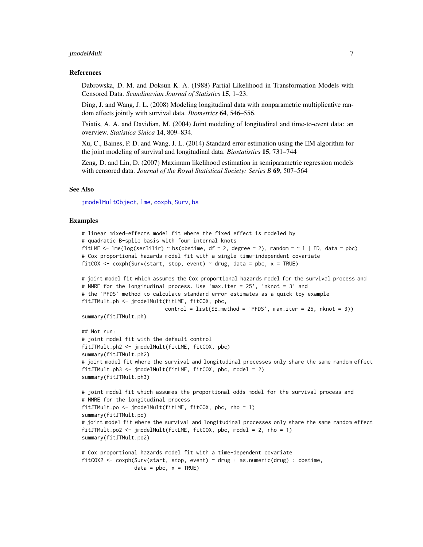#### <span id="page-6-0"></span>jmodelMult 7

#### References

Dabrowska, D. M. and Doksun K. A. (1988) Partial Likelihood in Transformation Models with Censored Data. *Scandinavian Journal of Statistics* 15, 1–23.

Ding, J. and Wang, J. L. (2008) Modeling longitudinal data with nonparametric multiplicative random effects jointly with survival data. *Biometrics* 64, 546–556.

Tsiatis, A. A. and Davidian, M. (2004) Joint modeling of longitudinal and time-to-event data: an overview. *Statistica Sinica* 14, 809–834.

Xu, C., Baines, P. D. and Wang, J. L. (2014) Standard error estimation using the EM algorithm for the joint modeling of survival and longitudinal data. *Biostatistics* 15, 731–744

Zeng, D. and Lin, D. (2007) Maximum likelihood estimation in semiparametric regression models with censored data. *Journal of the Royal Statistical Society: Series B* 69, 507–564

#### See Also

[jmodelMultObject](#page-7-1), [lme](#page-0-0), [coxph](#page-0-0), [Surv](#page-0-0), [bs](#page-0-0)

#### Examples

```
# linear mixed-effects model fit where the fixed effect is modeled by
# quadratic B-splie basis with four internal knots
fitLME \le - lme(log(serBilir) \sim bs(obstime, df = 2, degree = 2), random = \sim 1 | ID, data = pbc)
# Cox proportional hazards model fit with a single time-independent covariate
fitCOX \leq coxph(Surv(start, stop, event) \sim drug, data = pbc, x = TRUE)
# joint model fit which assumes the Cox proportional hazards model for the survival process and
# NMRE for the longitudinal process. Use 'max.iter = 25', 'nknot = 3' and
# the 'PFDS' method to calculate standard error estimates as a quick toy example
fitJTMult.ph <- jmodelMult(fitLME, fitCOX, pbc,
                           control = list(SE.method = 'PFDS', max.iter = 25, nknot = 3))summary(fitJTMult.ph)
## Not run:
# joint model fit with the default control
fitJTMult.ph2 <- jmodelMult(fitLME, fitCOX, pbc)
summary(fitJTMult.ph2)
# joint model fit where the survival and longitudinal processes only share the same random effect
fitJTMult.ph3 <- jmodelMult(fitLME, fitCOX, pbc, model = 2)
summary(fitJTMult.ph3)
# joint model fit which assumes the proportional odds model for the survival process and
# NMRE for the longitudinal process
fitJTMult.po <- jmodelMult(fitLME, fitCOX, pbc, rho = 1)
summary(fitJTMult.po)
# joint model fit where the survival and longitudinal processes only share the same random effect
fitJTMult.po2 <- jmodelMult(fitLME, fitCOX, pbc, model = 2, rho = 1)
summary(fitJTMult.po2)
# Cox proportional hazards model fit with a time-dependent covariate
fitCOX2 <- coxph(Surv(start, stop, event) \sim drug + as.numeric(drug) : obstime,
                 data = pbc, x = TRUE)
```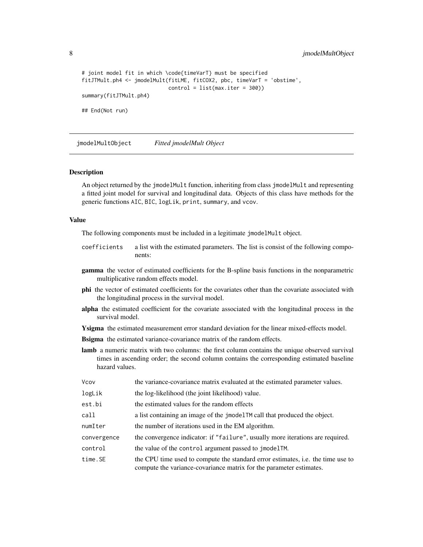```
# joint model fit in which \code{timeVarT} must be specified
fitJTMult.ph4 <- jmodelMult(fitLME, fitCOX2, pbc, timeVarT = 'obstime',
                            control = list(max.iter = 300))
summary(fitJTMult.ph4)
## End(Not run)
```
<span id="page-7-1"></span>jmodelMultObject *Fitted jmodelMult Object*

#### **Description**

An object returned by the jmodelMult function, inheriting from class jmodelMult and representing a fitted joint model for survival and longitudinal data. Objects of this class have methods for the generic functions AIC, BIC, logLik, print, summary, and vcov.

#### Value

The following components must be included in a legitimate jmodelMult object.

- coefficients a list with the estimated parameters. The list is consist of the following components:
- gamma the vector of estimated coefficients for the B-spline basis functions in the nonparametric multiplicative random effects model.
- phi the vector of estimated coefficients for the covariates other than the covariate associated with the longitudinal process in the survival model.
- alpha the estimated coefficient for the covariate associated with the longitudinal process in the survival model.
- Ysigma the estimated measurement error standard deviation for the linear mixed-effects model.

**Bsigma** the estimated variance-covariance matrix of the random effects.

lamb a numeric matrix with two columns: the first column contains the unique observed survival times in ascending order; the second column contains the corresponding estimated baseline hazard values.

| Vcov        | the variance-covariance matrix evaluated at the estimated parameter values.                                                                                   |
|-------------|---------------------------------------------------------------------------------------------------------------------------------------------------------------|
| logLik      | the log-likelihood (the joint likelihood) value.                                                                                                              |
| est.bi      | the estimated values for the random effects                                                                                                                   |
| call        | a list containing an image of the jmodel TM call that produced the object.                                                                                    |
| numIter     | the number of iterations used in the EM algorithm.                                                                                                            |
| convergence | the convergence indicator: if "failure", usually more iterations are required.                                                                                |
| control     | the value of the control argument passed to jmodelTM.                                                                                                         |
| time.SE     | the CPU time used to compute the standard error estimates, <i>i.e.</i> the time use to<br>compute the variance-covariance matrix for the parameter estimates. |

<span id="page-7-0"></span>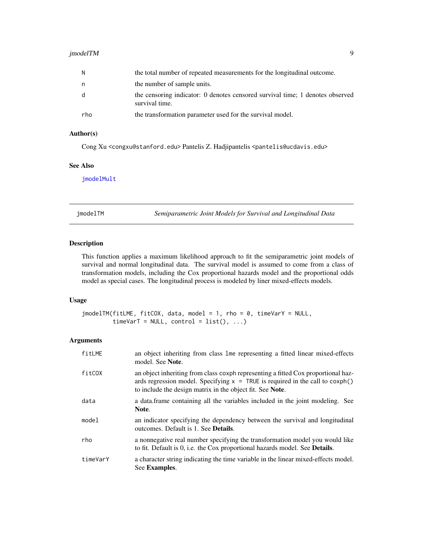#### <span id="page-8-0"></span>jmodelTM 9

| N   | the total number of repeated measurements for the longitudinal outcome.                         |
|-----|-------------------------------------------------------------------------------------------------|
| n   | the number of sample units.                                                                     |
| d   | the censoring indicator: 0 denotes censored survival time; 1 denotes observed<br>survival time. |
| rho | the transformation parameter used for the survival model.                                       |

### Author(s)

Cong Xu <congxu@stanford.edu> Pantelis Z. Hadjipantelis <pantelis@ucdavis.edu>

#### See Also

[jmodelMult](#page-3-1)

<span id="page-8-1"></span>jmodelTM *Semiparametric Joint Models for Survival and Longitudinal Data*

#### Description

This function applies a maximum likelihood approach to fit the semiparametric joint models of survival and normal longitudinal data. The survival model is assumed to come from a class of transformation models, including the Cox proportional hazards model and the proportional odds model as special cases. The longitudinal process is modeled by liner mixed-effects models.

#### Usage

```
jmodelTM(fitLME, fitCOX, data, model = 1, rho = 0, timeVarY = NULL,
        timeVarT = NULL, control = list(), ...)
```
#### Arguments

| fitLME   | an object inheriting from class lme representing a fitted linear mixed-effects<br>model. See Note.                                                                                                                                |
|----------|-----------------------------------------------------------------------------------------------------------------------------------------------------------------------------------------------------------------------------------|
| fitCOX   | an object inheriting from class coxph representing a fitted Cox proportional haz-<br>ards regression model. Specifying $x = TRUE$ is required in the call to coxph()<br>to include the design matrix in the object fit. See Note. |
| data     | a data frame containing all the variables included in the joint modeling. See<br>Note.                                                                                                                                            |
| model    | an indicator specifying the dependency between the survival and longitudinal<br>outcomes. Default is 1. See <b>Details</b> .                                                                                                      |
| rho      | a nonnegative real number specifying the transformation model you would like<br>to fit. Default is 0, i.e. the Cox proportional hazards model. See <b>Details</b> .                                                               |
| timeVarY | a character string indicating the time variable in the linear mixed-effects model.<br>See Examples.                                                                                                                               |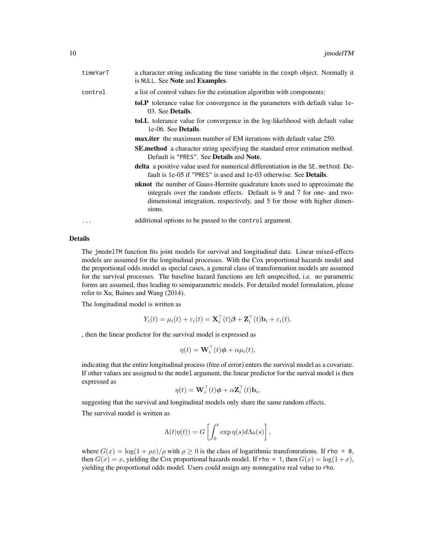| timeVarT | a character string indicating the time variable in the coxph object. Normally it<br>is NULL. See <b>Note</b> and <b>Examples</b> .                                                                                                                  |
|----------|-----------------------------------------------------------------------------------------------------------------------------------------------------------------------------------------------------------------------------------------------------|
| control  | a list of control values for the estimation algorithm with components:                                                                                                                                                                              |
|          | <b>tol.P</b> tolerance value for convergence in the parameters with default value 1e-<br>03. See <b>Details</b> .                                                                                                                                   |
|          | <b>tol.</b> L tolerance value for convergence in the log-likelihood with default value<br>1e-06. See <b>Details</b> .                                                                                                                               |
|          | <b>max.iter</b> the maximum number of EM iterations with default value 250.                                                                                                                                                                         |
|          | <b>SE.method</b> a character string specifying the standard error estimation method.<br>Default is "PRES". See <b>Details</b> and <b>Note</b> .                                                                                                     |
|          | <b>delta</b> a positive value used for numerical differentiation in the SE method. De-<br>fault is 1e-05 if "PRES" is used and 1e-03 otherwise. See <b>Details</b> .                                                                                |
|          | <b>nknot</b> the number of Gauss-Hermite quadrature knots used to approximate the<br>integrals over the random effects. Default is 9 and 7 for one- and two-<br>dimensional integration, respectively, and 5 for those with higher dimen-<br>sions. |
| $\cdots$ | additional options to be passed to the control argument.                                                                                                                                                                                            |

#### Details

The jmodelTM function fits joint models for survival and longitudinal data. Linear mixed-effects models are assumed for the longitudinal processes. With the Cox proportional hazards model and the proportional odds model as special cases, a general class of transformation models are assumed for the survival processes. The baseline hazard functions are left unspecified, i.e. no parametric forms are assumed, thus leading to semiparametric models. For detailed model formulation, please refer to Xu, Baines and Wang (2014).

The longitudinal model is written as

$$
Y_i(t) = \mu_i(t) + \varepsilon_i(t) = \mathbf{X}_i^{\top}(t)\boldsymbol{\beta} + \mathbf{Z}_i^{\top}(t)\mathbf{b}_i + \varepsilon_i(t).
$$

, then the linear predictor for the survival model is expressed as

$$
\eta(t) = \mathbf{W}_i^{\top}(t)\boldsymbol{\phi} + \alpha\mu_i(t),
$$

indicating that the entire longitudinal process (free of error) enters the survival model as a covariate. If other values are assigned to the model argument, the linear predictor for the surival model is then expressed as

$$
\eta(t) = \mathbf{W}_i^{\top}(t)\boldsymbol{\phi} + \alpha \mathbf{Z}_i^{\top}(t)\mathbf{b}_i,
$$

suggesting that the survival and longitudinal models only share the same random effects.

The survival model is written as

$$
\Lambda(t|\eta(t)) = G\left[\int_0^t \exp \eta(s) d\Lambda_0(s)\right],
$$

where  $G(x) = \log(1 + \rho x)/\rho$  with  $\rho \ge 0$  is the class of logarithmic transfomrations. If rho = 0, then  $G(x) = x$ , yielding the Cox proportional hazards model. If rho = 1, then  $G(x) = \log(1+x)$ , yielding the proportional odds model. Users could assign any nonnegative real value to rho.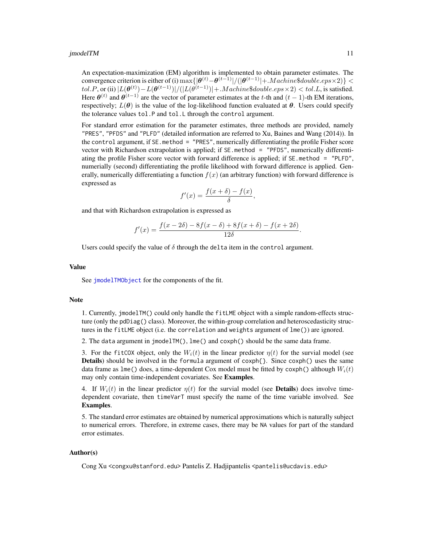<span id="page-10-0"></span>An expectation-maximization (EM) algorithm is implemented to obtain parameter estimates. The convergence criterion is either of (i)  $\max\{|\boldsymbol{\theta}^{(t)}-\boldsymbol{\theta}^{(t-1)}|/(|\boldsymbol{\theta}^{(t-1)}|+.Machine\$ double.eps \times 2)\} <$  $tol.P,$  or (ii)  $|L(\boldsymbol{\theta}^{(t)})-L(\boldsymbol{\theta}^{(t-1)})|/(|L(\boldsymbol{\theta}^{(t-1)})|+Machine\$double.eps\times2) is satisfied.$ Here  $\theta^{(t)}$  and  $\theta^{(t-1)}$  are the vector of parameter estimates at the t-th and  $(t-1)$ -th EM iterations, respectively;  $L(\theta)$  is the value of the log-likelihood function evaluated at  $\theta$ . Users could specify the tolerance values tol.P and tol.L through the control argument.

For standard error estimation for the parameter estimates, three methods are provided, namely "PRES", "PFDS" and "PLFD" (detailed information are referred to Xu, Baines and Wang (2014)). In the control argument, if SE.method = "PRES", numerically differentiating the profile Fisher score vector with Richardson extrapolation is applied; if SE.method = "PFDS", numerically differentiating the profile Fisher score vector with forward difference is applied; if SE.method = "PLFD", numerially (second) differentiating the profile likelihood with forward difference is applied. Generally, numerically differentiating a function  $f(x)$  (an arbitrary function) with forward difference is expressed as

$$
f'(x) = \frac{f(x+\delta) - f(x)}{\delta},
$$

and that with Richardson extrapolation is expressed as

$$
f'(x) = \frac{f(x - 2\delta) - 8f(x - \delta) + 8f(x + \delta) - f(x + 2\delta)}{12\delta}.
$$

Users could specify the value of  $\delta$  through the delta item in the control argument.

#### Value

See [jmodelTMObject](#page-12-1) for the components of the fit.

#### **Note**

1. Currently, jmodelTM() could only handle the fitLME object with a simple random-effects structure (only the pdDiag() class). Moreover, the within-group correlation and heteroscedasticity structures in the fitLME object (i.e. the correlation and weights argument of lme()) are ignored.

2. The data argument in jmodelTM(), lme() and coxph() should be the same data frame.

3. For the fitCOX object, only the  $W_i(t)$  in the linear predictor  $\eta(t)$  for the survial model (see Details) should be involved in the formula argument of coxph{}. Since coxph() uses the same data frame as lme() does, a time-dependent Cox model must be fitted by coxph() although  $W_i(t)$ may only contain time-independent covariates. See Examples.

4. If  $W_i(t)$  in the linear predictor  $\eta(t)$  for the survial model (see **Details**) does involve timedependent covariate, then timeVarT must specify the name of the time variable involved. See Examples.

5. The standard error estimates are obtained by numerical approximations which is naturally subject to numerical errors. Therefore, in extreme cases, there may be NA values for part of the standard error estimates.

#### Author(s)

Cong Xu <congxu@stanford.edu> Pantelis Z. Hadjipantelis <pantelis@ucdavis.edu>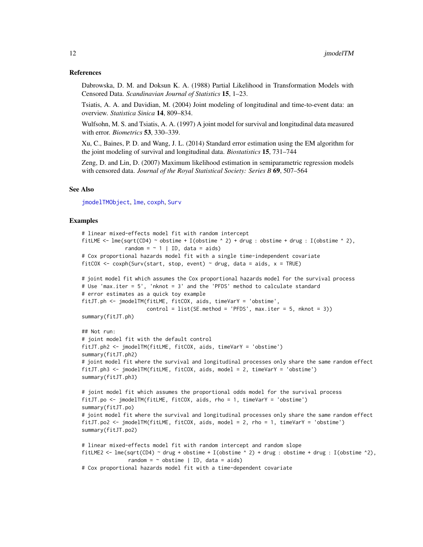#### <span id="page-11-0"></span>References

Dabrowska, D. M. and Doksun K. A. (1988) Partial Likelihood in Transformation Models with Censored Data. *Scandinavian Journal of Statistics* 15, 1–23.

Tsiatis, A. A. and Davidian, M. (2004) Joint modeling of longitudinal and time-to-event data: an overview. *Statistica Sinica* 14, 809–834.

Wulfsohn, M. S. and Tsiatis, A. A. (1997) A joint model for survival and longitudinal data measured with error. *Biometrics* 53, 330–339.

Xu, C., Baines, P. D. and Wang, J. L. (2014) Standard error estimation using the EM algorithm for the joint modeling of survival and longitudinal data. *Biostatistics* 15, 731–744

Zeng, D. and Lin, D. (2007) Maximum likelihood estimation in semiparametric regression models with censored data. *Journal of the Royal Statistical Society: Series B* 69, 507–564

#### See Also

[jmodelTMObject](#page-12-1), [lme](#page-0-0), [coxph](#page-0-0), [Surv](#page-0-0)

#### Examples

```
# linear mixed-effects model fit with random intercept
fitLME \le - lme(sqrt(CD4) \sim obstime + I(obstime \land 2) + drug : obstime + drug : I(obstime \land 2),
              random = \sim 1 | ID, data = aids)
# Cox proportional hazards model fit with a single time-independent covariate
fitCOX <- coxph(Surv(start, stop, event) \sim drug, data = aids, x = TRUE)
# joint model fit which assumes the Cox proportional hazards model for the survival process
# Use 'max.iter = 5', 'nknot = 3' and the 'PFDS' method to calculate standard
# error estimates as a quick toy example
fitJT.ph <- jmodelTM(fitLME, fitCOX, aids, timeVarY = 'obstime',
                     control = list(SE.method = 'PFDS', max.iter = 5, nknot = 3))summary(fitJT.ph)
## Not run:
# joint model fit with the default control
fitJT.ph2 <- jmodelTM(fitLME, fitCOX, aids, timeVarY = 'obstime')
summary(fitJT.ph2)
# joint model fit where the survival and longitudinal processes only share the same random effect
fitJT.ph3 <- jmodelTM(fitLME, fitCOX, aids, model = 2, timeVarY = 'obstime')
summary(fitJT.ph3)
# joint model fit which assumes the proportional odds model for the survival process
fitJT.po <- jmodelTM(fitLME, fitCOX, aids, rho = 1, timeVarY = 'obstime')
summary(fitJT.po)
# joint model fit where the survival and longitudinal processes only share the same random effect
fitJT.po2 <- jmodelTM(fitLME, fitCOX, aids, model = 2, rho = 1, timeVarY = 'obstime')
summary(fitJT.po2)
# linear mixed-effects model fit with random intercept and random slope
fitLME2 <- lme(sqrt(CD4) \sim drug + obstime + I(obstime \sim 2) + drug : obstime + drug : I(obstime \sim 2),
               random = \sim obstime | ID, data = aids)
# Cox proportional hazards model fit with a time-dependent covariate
```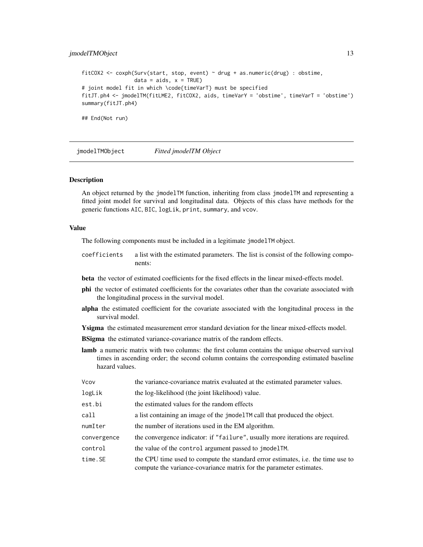#### <span id="page-12-0"></span>jmodelTMObject 13

```
fitCOX2 <- coxph(Surv(start, stop, event) \sim drug + as.numeric(drug) : obstime,
                 data = aids, x = TRUE)# joint model fit in which \code{timeVarT} must be specified
fitJT.ph4 <- jmodelTM(fitLME2, fitCOX2, aids, timeVarY = 'obstime', timeVarT = 'obstime')
summary(fitJT.ph4)
## End(Not run)
```
<span id="page-12-1"></span>jmodelTMObject *Fitted jmodelTM Object*

#### Description

An object returned by the jmodelTM function, inheriting from class jmodelTM and representing a fitted joint model for survival and longitudinal data. Objects of this class have methods for the generic functions AIC, BIC, logLik, print, summary, and vcov.

#### Value

The following components must be included in a legitimate jmodelTM object.

coefficients a list with the estimated parameters. The list is consist of the following components:

beta the vector of estimated coefficients for the fixed effects in the linear mixed-effects model.

- phi the vector of estimated coefficients for the covariates other than the covariate associated with the longitudinal process in the survival model.
- alpha the estimated coefficient for the covariate associated with the longitudinal process in the survival model.
- Ysigma the estimated measurement error standard deviation for the linear mixed-effects model.

**BSigma** the estimated variance-covariance matrix of the random effects.

lamb a numeric matrix with two columns: the first column contains the unique observed survival times in ascending order; the second column contains the corresponding estimated baseline hazard values.

| Vcov        | the variance-covariance matrix evaluated at the estimated parameter values.                                                                                   |
|-------------|---------------------------------------------------------------------------------------------------------------------------------------------------------------|
| logLik      | the log-likelihood (the joint likelihood) value.                                                                                                              |
| est.bi      | the estimated values for the random effects                                                                                                                   |
| call        | a list containing an image of the jmodelTM call that produced the object.                                                                                     |
| numIter     | the number of iterations used in the EM algorithm.                                                                                                            |
| convergence | the convergence indicator: if "failure", usually more iterations are required.                                                                                |
| control     | the value of the control argument passed to jmodelTM.                                                                                                         |
| time.SE     | the CPU time used to compute the standard error estimates, <i>i.e.</i> the time use to<br>compute the variance-covariance matrix for the parameter estimates. |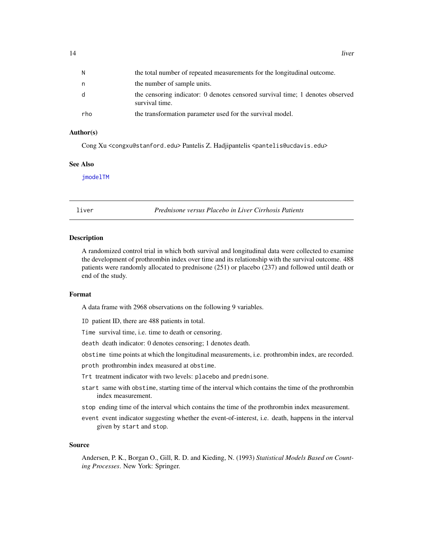<span id="page-13-0"></span>

| N   | the total number of repeated measurements for the longitudinal outcome.                         |
|-----|-------------------------------------------------------------------------------------------------|
| n   | the number of sample units.                                                                     |
| d   | the censoring indicator: 0 denotes censored survival time; 1 denotes observed<br>survival time. |
| rho | the transformation parameter used for the survival model.                                       |

#### Author(s)

Cong Xu <congxu@stanford.edu> Pantelis Z. Hadjipantelis <pantelis@ucdavis.edu>

#### See Also

[jmodelTM](#page-8-1)

liver *Prednisone versus Placebo in Liver Cirrhosis Patients*

#### Description

A randomized control trial in which both survival and longitudinal data were collected to examine the development of prothrombin index over time and its relationship with the survival outcome. 488 patients were randomly allocated to prednisone (251) or placebo (237) and followed until death or end of the study.

#### Format

A data frame with 2968 observations on the following 9 variables.

ID patient ID, there are 488 patients in total.

Time survival time, i.e. time to death or censoring.

death death indicator: 0 denotes censoring; 1 denotes death.

obstime time points at which the longitudinal measurements, i.e. prothrombin index, are recorded.

proth prothrombin index measured at obstime.

Trt treatment indicator with two levels: placebo and prednisone.

- start same with obstime, starting time of the interval which contains the time of the prothrombin index measurement.
- stop ending time of the interval which contains the time of the prothrombin index measurement.
- event event indicator suggesting whether the event-of-interest, i.e. death, happens in the interval given by start and stop.

#### Source

Andersen, P. K., Borgan O., Gill, R. D. and Kieding, N. (1993) *Statistical Models Based on Counting Processes*. New York: Springer.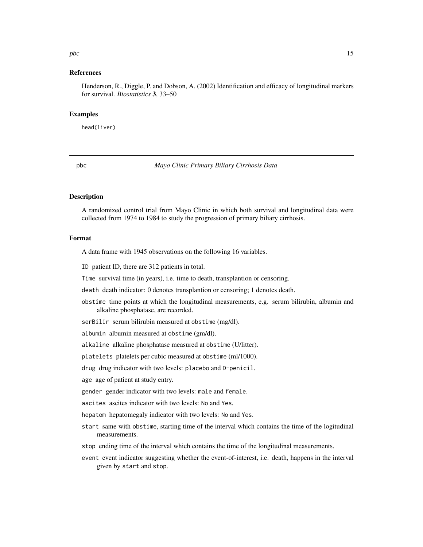#### <span id="page-14-0"></span> $pbc$  15

#### References

Henderson, R., Diggle, P. and Dobson, A. (2002) Identification and efficacy of longitudinal markers for survival. *Biostatistics* 3, 33–50

#### Examples

head(liver)

pbc *Mayo Clinic Primary Biliary Cirrhosis Data*

#### Description

A randomized control trial from Mayo Clinic in which both survival and longitudinal data were collected from 1974 to 1984 to study the progression of primary biliary cirrhosis.

#### Format

A data frame with 1945 observations on the following 16 variables.

ID patient ID, there are 312 patients in total.

Time survival time (in years), i.e. time to death, transplantion or censoring.

death death indicator: 0 denotes transplantion or censoring; 1 denotes death.

obstime time points at which the longitudinal measurements, e.g. serum bilirubin, albumin and alkaline phosphatase, are recorded.

serBilir serum bilirubin measured at obstime (mg/dl).

albumin albumin measured at obstime (gm/dl).

alkaline alkaline phosphatase measured at obstime (U/litter).

platelets platelets per cubic measured at obstime (ml/1000).

drug drug indicator with two levels: placebo and D-penicil.

age age of patient at study entry.

gender gender indicator with two levels: male and female.

ascites ascites indicator with two levels: No and Yes.

hepatom hepatomegaly indicator with two levels: No and Yes.

- start same with obstime, starting time of the interval which contains the time of the logitudinal measurements.
- stop ending time of the interval which contains the time of the longitudinal measurements.
- event event indicator suggesting whether the event-of-interest, i.e. death, happens in the interval given by start and stop.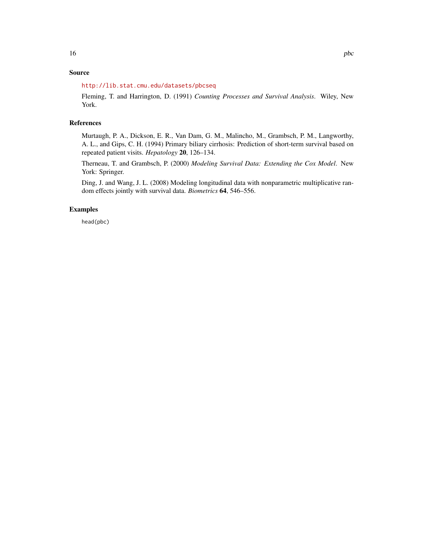### Source

#### <http://lib.stat.cmu.edu/datasets/pbcseq>

Fleming, T. and Harrington, D. (1991) *Counting Processes and Survival Analysis*. Wiley, New York.

#### References

Murtaugh, P. A., Dickson, E. R., Van Dam, G. M., Malincho, M., Grambsch, P. M., Langworthy, A. L., and Gips, C. H. (1994) Primary biliary cirrhosis: Prediction of short-term survival based on repeated patient visits. *Hepatology* 20, 126–134.

Therneau, T. and Grambsch, P. (2000) *Modeling Survival Data: Extending the Cox Model*. New York: Springer.

Ding, J. and Wang, J. L. (2008) Modeling longitudinal data with nonparametric multiplicative random effects jointly with survival data. *Biometrics* 64, 546–556.

#### Examples

head(pbc)